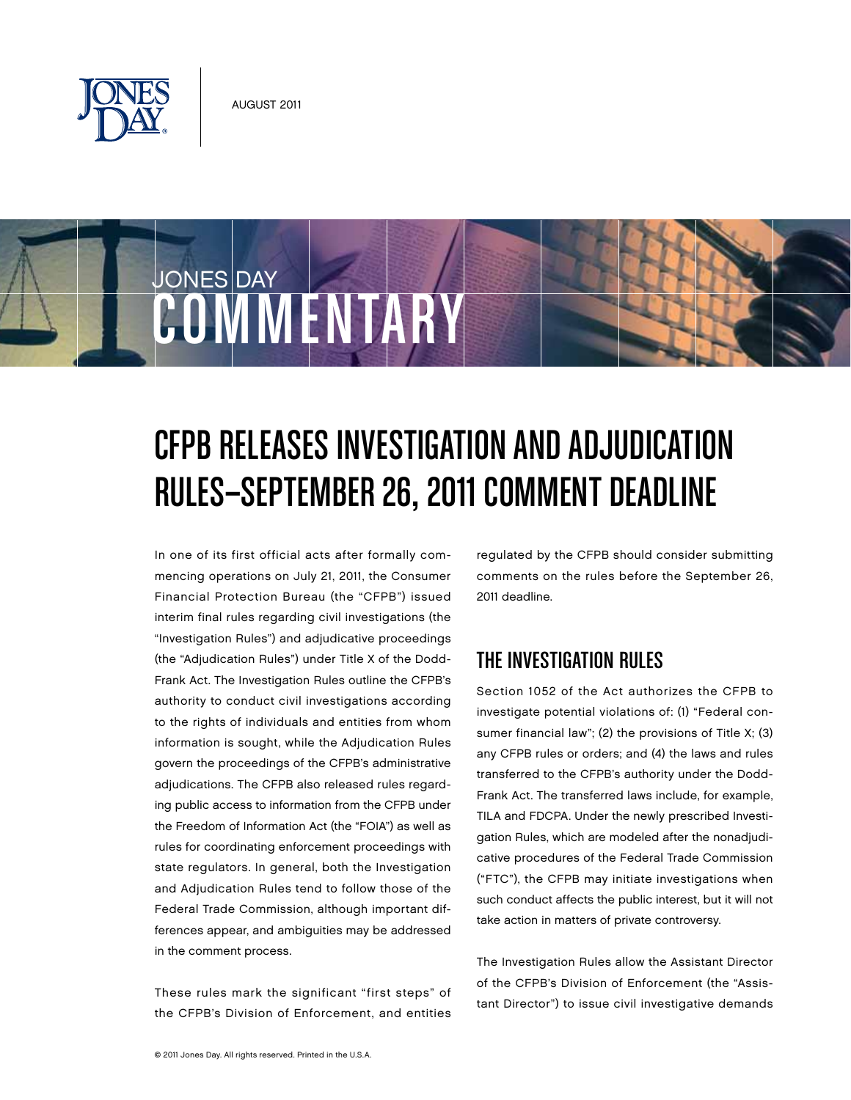

COMMENTARY

JONES DAY

# CFPB Releases Investigation and Adjudication RULES-SEPTEMBER 26, 2011 COMMENT DEADLINE

In one of its first official acts after formally commencing operations on July 21, 2011, the Consumer Financial Protection Bureau (the "CFPB") issued interim final rules regarding civil investigations (the "Investigation Rules") and adjudicative proceedings (the "Adjudication Rules") under Title X of the Dodd-Frank Act. The Investigation Rules outline the CFPB's authority to conduct civil investigations according to the rights of individuals and entities from whom information is sought, while the Adjudication Rules govern the proceedings of the CFPB's administrative adjudications. The CFPB also released rules regarding public access to information from the CFPB under the Freedom of Information Act (the "FOIA") as well as rules for coordinating enforcement proceedings with state regulators. In general, both the Investigation and Adjudication Rules tend to follow those of the Federal Trade Commission, although important differences appear, and ambiguities may be addressed in the comment process.

These rules mark the significant "first steps" of the CFPB's Division of Enforcement, and entities regulated by the CFPB should consider submitting comments on the rules before the September 26, 2011 deadline.

### The Investigation Rules

Section 1052 of the Act authorizes the CFPB to investigate potential violations of: (1) "Federal consumer financial law"; (2) the provisions of Title X; (3) any CFPB rules or orders; and (4) the laws and rules transferred to the CFPB's authority under the Dodd-Frank Act. The transferred laws include, for example, TILA and FDCPA. Under the newly prescribed Investigation Rules, which are modeled after the nonadjudicative procedures of the Federal Trade Commission ("FTC"), the CFPB may initiate investigations when such conduct affects the public interest, but it will not take action in matters of private controversy.

The Investigation Rules allow the Assistant Director of the CFPB's Division of Enforcement (the "Assistant Director") to issue civil investigative demands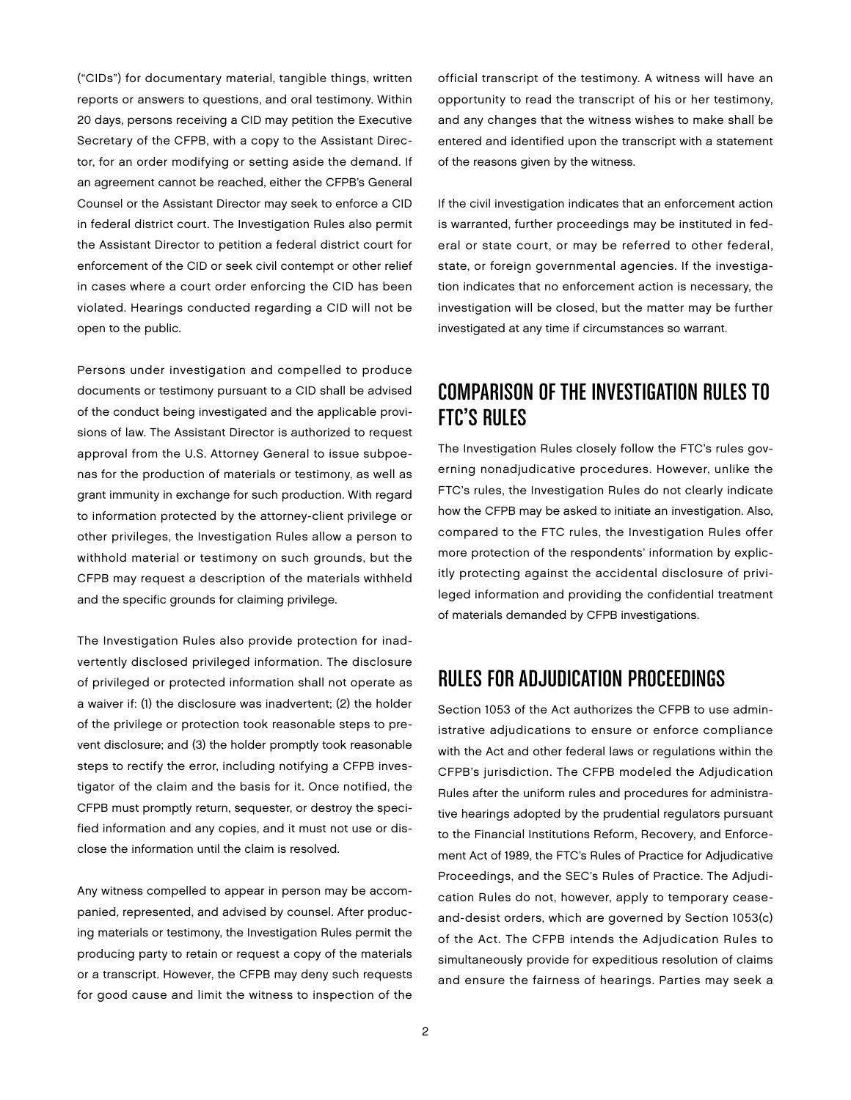("CIDs") for documentary material, tangible things, written reports or answers to questions, and oral testimony. Within 20 days, persons receiving a CID may petition the Executive Secretary of the CFPB, with a copy to the Assistant Director, for an order modifying or setting aside the demand. If an agreement cannot be reached, either the CFPB's General Counsel or the Assistant Director may seek to enforce a CID in federal district court. The Investigation Rules also permit the Assistant Director to petition a federal district court for enforcement of the CID or seek civil contempt or other relief in cases where a court order enforcing the CID has been violated. Hearings conducted regarding a CID will not be open to the public.

Persons under investigation and compelled to produce documents or testimony pursuant to a CID shall be advised of the conduct being investigated and the applicable provisions of law. The Assistant Director is authorized to request approval from the U.S. Attorney General to issue subpoenas for the production of materials or testimony, as well as grant immunity in exchange for such production. With regard to information protected by the attorney-client privilege or other privileges, the Investigation Rules allow a person to withhold material or testimony on such grounds, but the CFPB may request a description of the materials withheld and the specific grounds for claiming privilege.

The Investigation Rules also provide protection for inadvertently disclosed privileged information. The disclosure of privileged or protected information shall not operate as a waiver if: (1) the disclosure was inadvertent; (2) the holder of the privilege or protection took reasonable steps to prevent disclosure; and (3) the holder promptly took reasonable steps to rectify the error, including notifying a CFPB investigator of the claim and the basis for it. Once notified, the CFPB must promptly return, sequester, or destroy the specified information and any copies, and it must not use or disclose the information until the claim is resolved.

Any witness compelled to appear in person may be accompanied, represented, and advised by counsel. After producing materials or testimony, the Investigation Rules permit the producing party to retain or request a copy of the materials or a transcript. However, the CFPB may deny such requests for good cause and limit the witness to inspection of the

official transcript of the testimony. A witness will have an opportunity to read the transcript of his or her testimony, and any changes that the witness wishes to make shall be entered and identified upon the transcript with a statement of the reasons given by the witness.

If the civil investigation indicates that an enforcement action is warranted, further proceedings may be instituted in federal or state court, or may be referred to other federal, state, or foreign governmental agencies. If the investigation indicates that no enforcement action is necessary, the investigation will be closed, but the matter may be further investigated at any time if circumstances so warrant.

## Comparison of the Investigation Rules to FTC's Rules

The Investigation Rules closely follow the FTC's rules governing nonadjudicative procedures. However, unlike the FTC's rules, the Investigation Rules do not clearly indicate how the CFPB may be asked to initiate an investigation. Also, compared to the FTC rules, the Investigation Rules offer more protection of the respondents' information by explicitly protecting against the accidental disclosure of privileged information and providing the confidential treatment of materials demanded by CFPB investigations.

### Rules for Adjudication Proceedings

Section 1053 of the Act authorizes the CFPB to use administrative adjudications to ensure or enforce compliance with the Act and other federal laws or regulations within the CFPB's jurisdiction. The CFPB modeled the Adjudication Rules after the uniform rules and procedures for administrative hearings adopted by the prudential regulators pursuant to the Financial Institutions Reform, Recovery, and Enforcement Act of 1989, the FTC's Rules of Practice for Adjudicative Proceedings, and the SEC's Rules of Practice. The Adjudication Rules do not, however, apply to temporary ceaseand-desist orders, which are governed by Section 1053(c) of the Act. The CFPB intends the Adjudication Rules to simultaneously provide for expeditious resolution of claims and ensure the fairness of hearings. Parties may seek a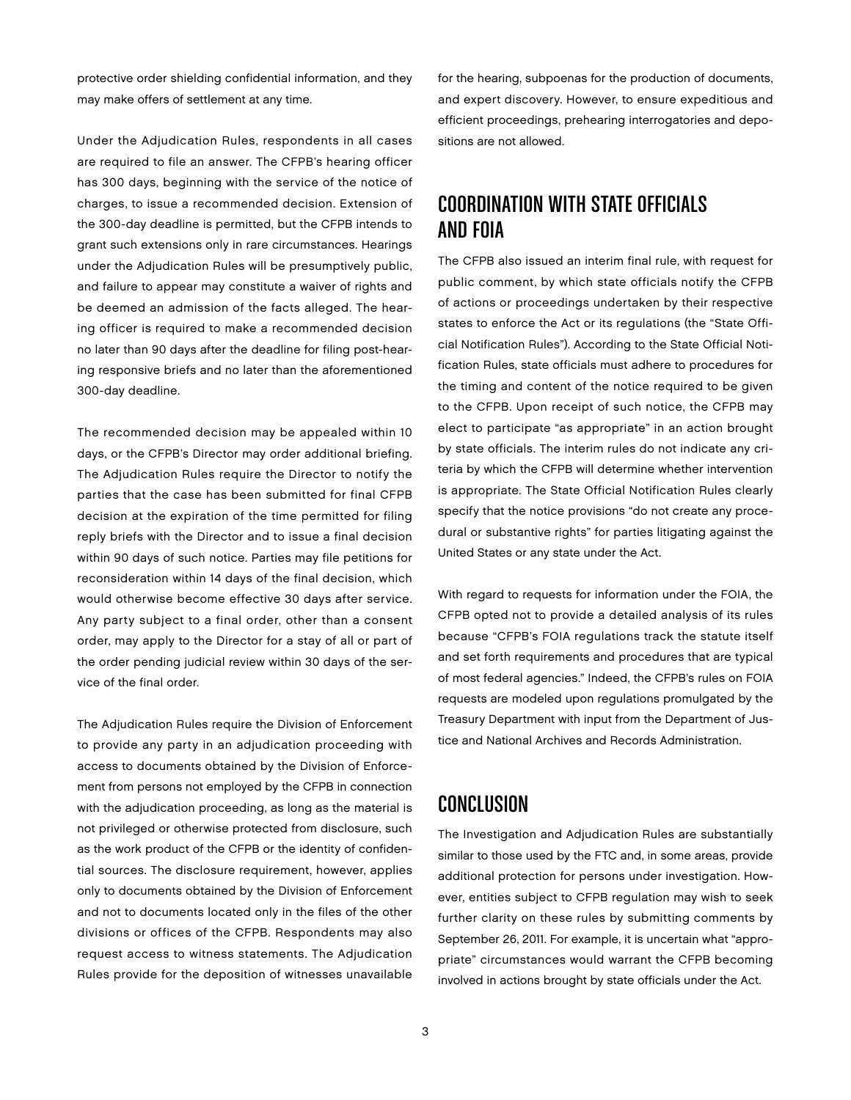protective order shielding confidential information, and they may make offers of settlement at any time.

Under the Adjudication Rules, respondents in all cases are required to file an answer. The CFPB's hearing officer has 300 days, beginning with the service of the notice of charges, to issue a recommended decision. Extension of the 300-day deadline is permitted, but the CFPB intends to grant such extensions only in rare circumstances. Hearings under the Adjudication Rules will be presumptively public, and failure to appear may constitute a waiver of rights and be deemed an admission of the facts alleged. The hearing officer is required to make a recommended decision no later than 90 days after the deadline for filing post-hearing responsive briefs and no later than the aforementioned 300-day deadline.

The recommended decision may be appealed within 10 days, or the CFPB's Director may order additional briefing. The Adjudication Rules require the Director to notify the parties that the case has been submitted for final CFPB decision at the expiration of the time permitted for filing reply briefs with the Director and to issue a final decision within 90 days of such notice. Parties may file petitions for reconsideration within 14 days of the final decision, which would otherwise become effective 30 days after service. Any party subject to a final order, other than a consent order, may apply to the Director for a stay of all or part of the order pending judicial review within 30 days of the service of the final order.

The Adjudication Rules require the Division of Enforcement to provide any party in an adjudication proceeding with access to documents obtained by the Division of Enforcement from persons not employed by the CFPB in connection with the adjudication proceeding, as long as the material is not privileged or otherwise protected from disclosure, such as the work product of the CFPB or the identity of confidential sources. The disclosure requirement, however, applies only to documents obtained by the Division of Enforcement and not to documents located only in the files of the other divisions or offices of the CFPB. Respondents may also request access to witness statements. The Adjudication Rules provide for the deposition of witnesses unavailable

for the hearing, subpoenas for the production of documents, and expert discovery. However, to ensure expeditious and efficient proceedings, prehearing interrogatories and depositions are not allowed.

#### Coordination with State Officials and FOIA

The CFPB also issued an interim final rule, with request for public comment, by which state officials notify the CFPB of actions or proceedings undertaken by their respective states to enforce the Act or its regulations (the "State Official Notification Rules"). According to the State Official Notification Rules, state officials must adhere to procedures for the timing and content of the notice required to be given to the CFPB. Upon receipt of such notice, the CFPB may elect to participate "as appropriate" in an action brought by state officials. The interim rules do not indicate any criteria by which the CFPB will determine whether intervention is appropriate. The State Official Notification Rules clearly specify that the notice provisions "do not create any procedural or substantive rights" for parties litigating against the United States or any state under the Act.

With regard to requests for information under the FOIA, the CFPB opted not to provide a detailed analysis of its rules because "CFPB's FOIA regulations track the statute itself and set forth requirements and procedures that are typical of most federal agencies." Indeed, the CFPB's rules on FOIA requests are modeled upon regulations promulgated by the Treasury Department with input from the Department of Justice and National Archives and Records Administration.

#### Conclusion

The Investigation and Adjudication Rules are substantially similar to those used by the FTC and, in some areas, provide additional protection for persons under investigation. However, entities subject to CFPB regulation may wish to seek further clarity on these rules by submitting comments by September 26, 2011. For example, it is uncertain what "appropriate" circumstances would warrant the CFPB becoming involved in actions brought by state officials under the Act.